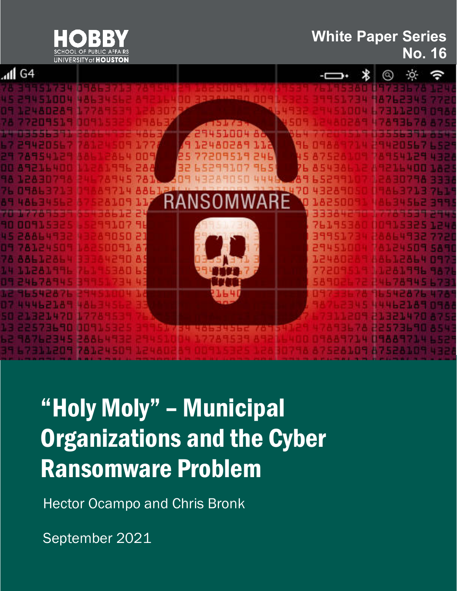

#### **White Paper Series No. 16**



## "Holy Moly" – Municipal Organizations and the Cyber Ransomware Problem

Hector Ocampo and Chris Bronk

September 2021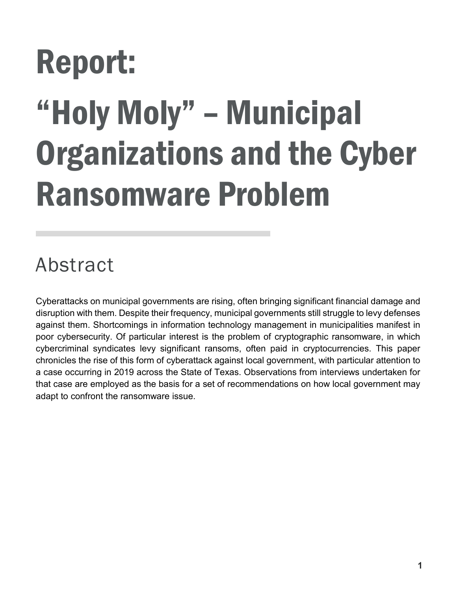# Report: "Holy Moly" – Municipal Organizations and the Cyber Ransomware Problem

## Abstract

Cyberattacks on municipal governments are rising, often bringing significant financial damage and disruption with them. Despite their frequency, municipal governments still struggle to levy defenses against them. Shortcomings in information technology management in municipalities manifest in poor cybersecurity. Of particular interest is the problem of cryptographic ransomware, in which cybercriminal syndicates levy significant ransoms, often paid in cryptocurrencies. This paper chronicles the rise of this form of cyberattack against local government, with particular attention to a case occurring in 2019 across the State of Texas. Observations from interviews undertaken for that case are employed as the basis for a set of recommendations on how local government may adapt to confront the ransomware issue.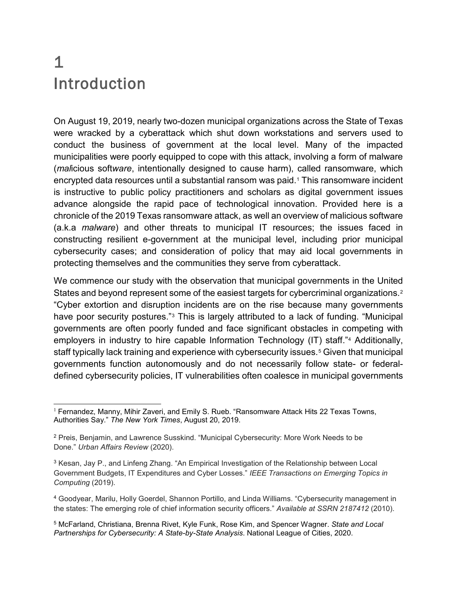#### 1 Introduction

On August 19, 2019, nearly two-dozen municipal organizations across the State of Texas were wracked by a cyberattack which shut down workstations and servers used to conduct the business of government at the local level. Many of the impacted municipalities were poorly equipped to cope with this attack, involving a form of malware (*mal*icious soft*ware*, intentionally designed to cause harm), called ransomware, which encrypted data resources until a substantial ransom was paid.<sup>[1](#page-2-0)</sup> This ransomware incident is instructive to public policy practitioners and scholars as digital government issues advance alongside the rapid pace of technological innovation. Provided here is a chronicle of the 2019 Texas ransomware attack, as well an overview of malicious software (a.k.a *malware*) and other threats to municipal IT resources; the issues faced in constructing resilient e-government at the municipal level, including prior municipal cybersecurity cases; and consideration of policy that may aid local governments in protecting themselves and the communities they serve from cyberattack.

We commence our study with the observation that municipal governments in the United States and beyond represent some of the easiest targets for cybercriminal organizations.<sup>[2](#page-2-1)</sup> "Cyber extortion and disruption incidents are on the rise because many governments have poor security postures."<sup>[3](#page-2-2)</sup> This is largely attributed to a lack of funding. "Municipal governments are often poorly funded and face significant obstacles in competing with employers in industry to hire capable Information Technology (IT) staff."[4](#page-2-3) Additionally, staff typically lack training and experience with cybersecurity issues.<sup>[5](#page-2-4)</sup> Given that municipal governments function autonomously and do not necessarily follow state- or federaldefined cybersecurity policies, IT vulnerabilities often coalesce in municipal governments

<span id="page-2-0"></span>l  $1$  Fernandez, Manny, Mihir Zaveri, and Emily S. Rueb. "Ransomware Attack Hits 22 Texas Towns, Authorities Say." *The New York Times*, August 20, 2019.

<span id="page-2-1"></span><sup>2</sup> Preis, Benjamin, and Lawrence Susskind. "Municipal Cybersecurity: More Work Needs to be Done." *Urban Affairs Review* (2020).

<span id="page-2-2"></span><sup>&</sup>lt;sup>3</sup> Kesan, Jay P., and Linfeng Zhang. "An Empirical Investigation of the Relationship between Local Government Budgets, IT Expenditures and Cyber Losses." *IEEE Transactions on Emerging Topics in Computing* (2019).

<span id="page-2-3"></span><sup>4</sup> Goodyear, Marilu, Holly Goerdel, Shannon Portillo, and Linda Williams. "Cybersecurity management in the states: The emerging role of chief information security officers." *Available at SSRN 2187412* (2010).

<span id="page-2-4"></span><sup>5</sup> McFarland, Christiana, Brenna Rivet, Kyle Funk, Rose Kim, and Spencer Wagner. *State and Local Partnerships for Cybersecurity: A State-by-State Analysis*. National League of Cities, 2020.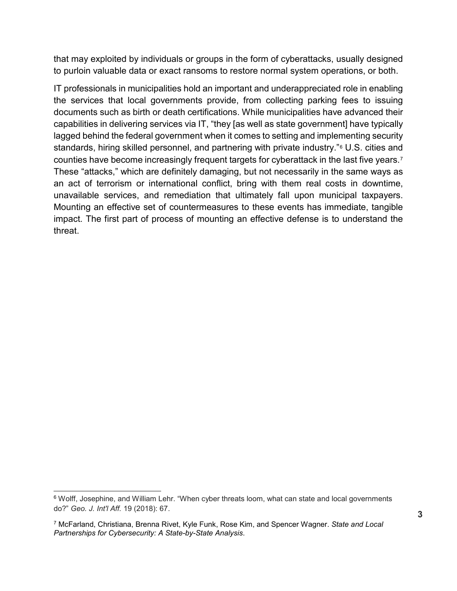that may exploited by individuals or groups in the form of cyberattacks, usually designed to purloin valuable data or exact ransoms to restore normal system operations, or both.

IT professionals in municipalities hold an important and underappreciated role in enabling the services that local governments provide, from collecting parking fees to issuing documents such as birth or death certifications. While municipalities have advanced their capabilities in delivering services via IT, "they [as well as state government] have typically lagged behind the federal government when it comes to setting and implementing security standards, hiring skilled personnel, and partnering with private industry."[6](#page-3-0) U.S. cities and counties have become increasingly frequent targets for cyberattack in the last five years.[7](#page-3-1) These "attacks," which are definitely damaging, but not necessarily in the same ways as an act of terrorism or international conflict, bring with them real costs in downtime, unavailable services, and remediation that ultimately fall upon municipal taxpayers. Mounting an effective set of countermeasures to these events has immediate, tangible impact. The first part of process of mounting an effective defense is to understand the threat.

<span id="page-3-0"></span><sup>&</sup>lt;sup>6</sup> Wolff, Josephine, and William Lehr. "When cyber threats loom, what can state and local governments do?" *Geo. J. Int'l Aff.* 19 (2018): 67.

<span id="page-3-1"></span><sup>7</sup> McFarland, Christiana, Brenna Rivet, Kyle Funk, Rose Kim, and Spencer Wagner. *State and Local Partnerships for Cybersecurity: A State-by-State Analysis*.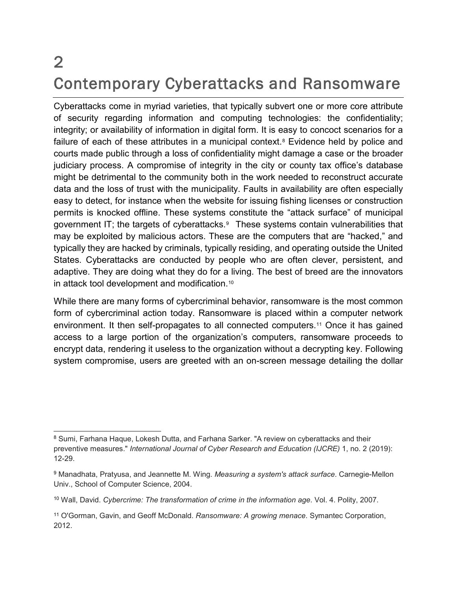#### 2 Contemporary Cyberattacks and Ransomware

Cyberattacks come in myriad varieties, that typically subvert one or more core attribute of security regarding information and computing technologies: the confidentiality; integrity; or availability of information in digital form. It is easy to concoct scenarios for a failure of each of these attributes in a municipal context.<sup>[8](#page-4-0)</sup> Evidence held by police and courts made public through a loss of confidentiality might damage a case or the broader judiciary process. A compromise of integrity in the city or county tax office's database might be detrimental to the community both in the work needed to reconstruct accurate data and the loss of trust with the municipality. Faults in availability are often especially easy to detect, for instance when the website for issuing fishing licenses or construction permits is knocked offline. These systems constitute the "attack surface" of municipal government IT; the targets of cyberattacks.[9](#page-4-1) These systems contain vulnerabilities that may be exploited by malicious actors. These are the computers that are "hacked," and typically they are hacked by criminals, typically residing, and operating outside the United States. Cyberattacks are conducted by people who are often clever, persistent, and adaptive. They are doing what they do for a living. The best of breed are the innovators in attack tool development and modification.<sup>[10](#page-4-2)</sup>

While there are many forms of cybercriminal behavior, ransomware is the most common form of cybercriminal action today. Ransomware is placed within a computer network environment. It then self-propagates to all connected computers.[11](#page-4-3) Once it has gained access to a large portion of the organization's computers, ransomware proceeds to encrypt data, rendering it useless to the organization without a decrypting key. Following system compromise, users are greeted with an on-screen message detailing the dollar

<span id="page-4-0"></span> <sup>8</sup> Sumi, Farhana Haque, Lokesh Dutta, and Farhana Sarker. "A review on cyberattacks and their preventive measures." *International Journal of Cyber Research and Education (IJCRE)* 1, no. 2 (2019): 12-29.

<span id="page-4-1"></span><sup>9</sup> Manadhata, Pratyusa, and Jeannette M. Wing. *Measuring a system's attack surface*. Carnegie-Mellon Univ., School of Computer Science, 2004.

<span id="page-4-2"></span><sup>10</sup> Wall, David. *Cybercrime: The transformation of crime in the information age*. Vol. 4. Polity, 2007.

<span id="page-4-3"></span><sup>11</sup> O'Gorman, Gavin, and Geoff McDonald. *Ransomware: A growing menace*. Symantec Corporation, 2012.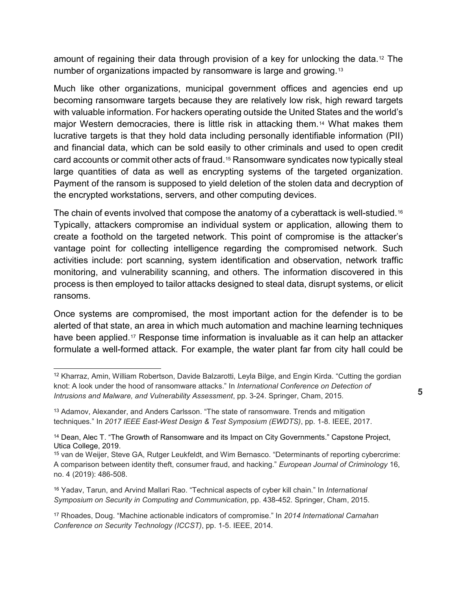amount of regaining their data through provision of a key for unlocking the data.<sup>[12](#page-5-0)</sup> The number of organizations impacted by ransomware is large and growing.[13](#page-5-1)

Much like other organizations, municipal government offices and agencies end up becoming ransomware targets because they are relatively low risk, high reward targets with valuable information. For hackers operating outside the United States and the world's major Western democracies, there is little risk in attacking them.[14](#page-5-2) What makes them lucrative targets is that they hold data including personally identifiable information (PII) and financial data, which can be sold easily to other criminals and used to open credit card accounts or commit other acts of fraud.[15](#page-5-3) Ransomware syndicates now typically steal large quantities of data as well as encrypting systems of the targeted organization. Payment of the ransom is supposed to yield deletion of the stolen data and decryption of the encrypted workstations, servers, and other computing devices.

The chain of events involved that compose the anatomy of a cyberattack is well-studied.<sup>[16](#page-5-4)</sup> Typically, attackers compromise an individual system or application, allowing them to create a foothold on the targeted network. This point of compromise is the attacker's vantage point for collecting intelligence regarding the compromised network. Such activities include: port scanning, system identification and observation, network traffic monitoring, and vulnerability scanning, and others. The information discovered in this process is then employed to tailor attacks designed to steal data, disrupt systems, or elicit ransoms.

Once systems are compromised, the most important action for the defender is to be alerted of that state, an area in which much automation and machine learning techniques have been applied.[17](#page-5-5) Response time information is invaluable as it can help an attacker formulate a well-formed attack. For example, the water plant far from city hall could be

<span id="page-5-0"></span> <sup>12</sup> Kharraz, Amin, William Robertson, Davide Balzarotti, Leyla Bilge, and Engin Kirda. "Cutting the gordian knot: A look under the hood of ransomware attacks." In *International Conference on Detection of Intrusions and Malware, and Vulnerability Assessment*, pp. 3-24. Springer, Cham, 2015.

<span id="page-5-1"></span><sup>13</sup> Adamov, Alexander, and Anders Carlsson. "The state of ransomware. Trends and mitigation techniques." In *2017 IEEE East-West Design & Test Symposium (EWDTS)*, pp. 1-8. IEEE, 2017.

<span id="page-5-2"></span><sup>&</sup>lt;sup>14</sup> Dean, Alec T. "The Growth of Ransomware and its Impact on City Governments." Capstone Project, Utica College, 2019.

<span id="page-5-3"></span><sup>15</sup> van de Weijer, Steve GA, Rutger Leukfeldt, and Wim Bernasco. "Determinants of reporting cybercrime: A comparison between identity theft, consumer fraud, and hacking." *European Journal of Criminology* 16, no. 4 (2019): 486-508.

<span id="page-5-4"></span><sup>16</sup> Yadav, Tarun, and Arvind Mallari Rao. "Technical aspects of cyber kill chain." In *International Symposium on Security in Computing and Communication*, pp. 438-452. Springer, Cham, 2015.

<span id="page-5-5"></span><sup>17</sup> Rhoades, Doug. "Machine actionable indicators of compromise." In *2014 International Carnahan Conference on Security Technology (ICCST)*, pp. 1-5. IEEE, 2014.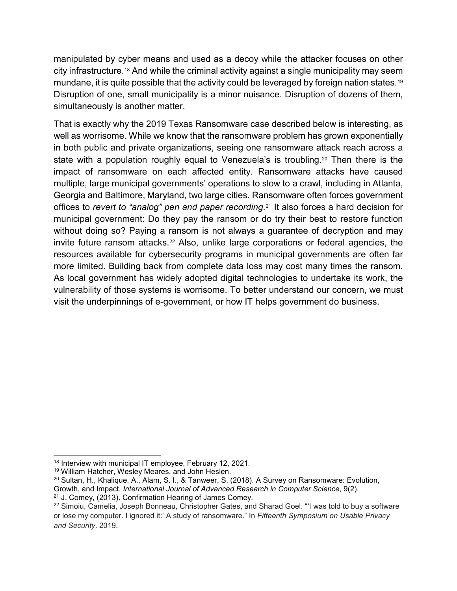manipulated by cyber means and used as a decoy while the attacker focuses on other city infrastructure.[18](#page-6-0) And while the criminal activity against a single municipality may seem mundane, it is quite possible that the activity could be leveraged by foreign nation states.<sup>[19](#page-6-1)</sup> Disruption of one, small municipality is a minor nuisance. Disruption of dozens of them, simultaneously is another matter.

That is exactly why the 2019 Texas Ransomware case described below is interesting, as well as worrisome. While we know that the ransomware problem has grown exponentially in both public and private organizations, seeing one ransomware attack reach across a state with a population roughly equal to Venezuela's is troubling.<sup>[20](#page-6-2)</sup> Then there is the impact of ransomware on each affected entity. Ransomware attacks have caused multiple, large municipal governments' operations to slow to a crawl, including in Atlanta, Georgia and Baltimore, Maryland, two large cities. Ransomware often forces government offices to *revert to "analog" pen and paper recording*.[21](#page-6-3) It also forces a hard decision for municipal government: Do they pay the ransom or do try their best to restore function without doing so? Paying a ransom is not always a guarantee of decryption and may invite future ransom attacks.[22](#page-6-4) Also, unlike large corporations or federal agencies, the resources available for cybersecurity programs in municipal governments are often far more limited. Building back from complete data loss may cost many times the ransom. As local government has widely adopted digital technologies to undertake its work, the vulnerability of those systems is worrisome. To better understand our concern, we must visit the underpinnings of e-government, or how IT helps government do business.

<span id="page-6-0"></span> <sup>18</sup> Interview with municipal IT employee, February 12, 2021.

<span id="page-6-1"></span><sup>19</sup> William Hatcher, Wesley Meares, and John Heslen.

<span id="page-6-2"></span><sup>20</sup> Sultan, H., Khalique, A., Alam, S. I., & Tanweer, S. (2018). A Survey on Ransomware: Evolution, Growth, and Impact. *International Journal of Advanced Research in Computer Science*, 9(2).

<span id="page-6-3"></span> $21$  J. Comey, (2013). Confirmation Hearing of James Comey.

<span id="page-6-4"></span><sup>&</sup>lt;sup>22</sup> Simoiu, Camelia, Joseph Bonneau, Christopher Gates, and Sharad Goel. "I was told to buy a software or lose my computer. I ignored it:' A study of ransomware." In *Fifteenth Symposium on Usable Privacy and Security*. 2019.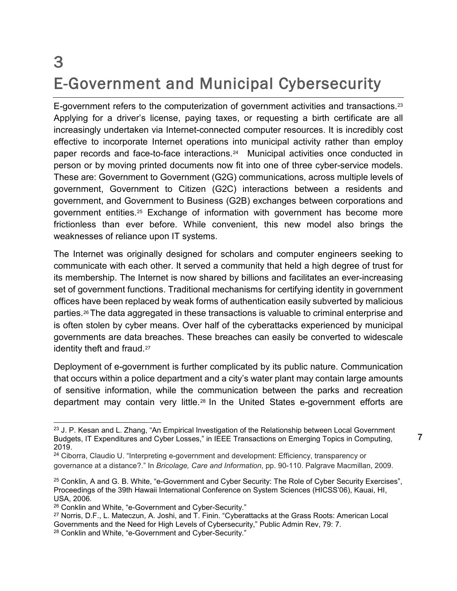#### 3 E-Government and Municipal Cybersecurity

E-government refers to the computerization of government activities and transactions.<sup>[23](#page-7-0)</sup> Applying for a driver's license, paying taxes, or requesting a birth certificate are all increasingly undertaken via Internet-connected computer resources. It is incredibly cost effective to incorporate Internet operations into municipal activity rather than employ paper records and face-to-face interactions.[24](#page-7-1) Municipal activities once conducted in person or by moving printed documents now fit into one of three cyber-service models. These are: Government to Government (G2G) communications, across multiple levels of government, Government to Citizen (G2C) interactions between a residents and government, and Government to Business (G2B) exchanges between corporations and government entities.[25](#page-7-2) Exchange of information with government has become more frictionless than ever before. While convenient, this new model also brings the weaknesses of reliance upon IT systems.

The Internet was originally designed for scholars and computer engineers seeking to communicate with each other. It served a community that held a high degree of trust for its membership. The Internet is now shared by billions and facilitates an ever-increasing set of government functions. Traditional mechanisms for certifying identity in government offices have been replaced by weak forms of authentication easily subverted by malicious parties.[26](#page-7-3)The data aggregated in these transactions is valuable to criminal enterprise and is often stolen by cyber means. Over half of the cyberattacks experienced by municipal governments are data breaches. These breaches can easily be converted to widescale identity theft and fraud.<sup>[27](#page-7-4)</sup>

Deployment of e-government is further complicated by its public nature. Communication that occurs within a police department and a city's water plant may contain large amounts of sensitive information, while the communication between the parks and recreation department may contain very little.[28](#page-7-5) In the United States e-government efforts are

<span id="page-7-0"></span><sup>&</sup>lt;sup>23</sup> J. P. Kesan and L. Zhang, "An Empirical Investigation of the Relationship between Local Government Budgets, IT Expenditures and Cyber Losses," in IEEE Transactions on Emerging Topics in Computing, 2019.

<span id="page-7-1"></span><sup>&</sup>lt;sup>24</sup> Ciborra, Claudio U. "Interpreting e-government and development: Efficiency, transparency or governance at a distance?." In *Bricolage, Care and Information*, pp. 90-110. Palgrave Macmillan, 2009.

<span id="page-7-2"></span><sup>&</sup>lt;sup>25</sup> Conklin, A and G. B. White, "e-Government and Cyber Security: The Role of Cyber Security Exercises", Proceedings of the 39th Hawaii International Conference on System Sciences (HICSS'06), Kauai, HI, USA, 2006.

<span id="page-7-3"></span><sup>26</sup> Conklin and White, "e-Government and Cyber-Security."

<span id="page-7-4"></span><sup>27</sup> Norris, D.F., L. Mateczun, A. Joshi, and T. Finin. "Cyberattacks at the Grass Roots: American Local Governments and the Need for High Levels of Cybersecurity," Public Admin Rev, 79: 7.

<span id="page-7-5"></span><sup>&</sup>lt;sup>28</sup> Conklin and White, "e-Government and Cyber-Security."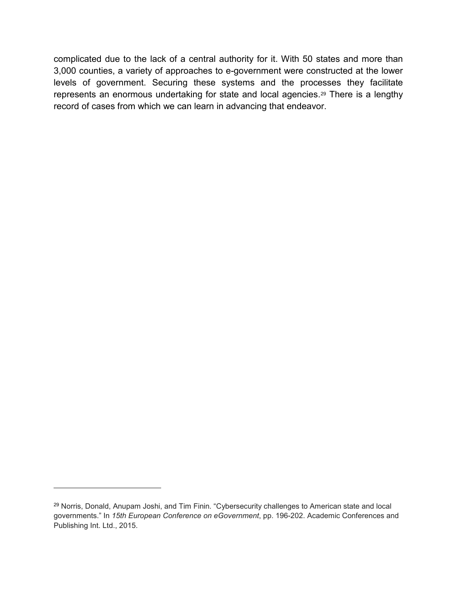complicated due to the lack of a central authority for it. With 50 states and more than 3,000 counties, a variety of approaches to e-government were constructed at the lower levels of government. Securing these systems and the processes they facilitate represents an enormous undertaking for state and local agencies.[29](#page-8-0) There is a lengthy record of cases from which we can learn in advancing that endeavor.

-

<span id="page-8-0"></span><sup>29</sup> Norris, Donald, Anupam Joshi, and Tim Finin. "Cybersecurity challenges to American state and local governments." In *15th European Conference on eGovernment*, pp. 196-202. Academic Conferences and Publishing Int. Ltd., 2015.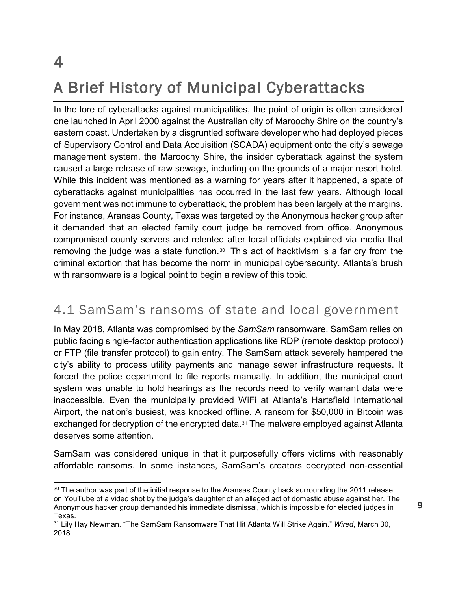## 4 A Brief History of Municipal Cyberattacks

In the lore of cyberattacks against municipalities, the point of origin is often considered one launched in April 2000 against the Australian city of Maroochy Shire on the country's eastern coast. Undertaken by a disgruntled software developer who had deployed pieces of Supervisory Control and Data Acquisition (SCADA) equipment onto the city's sewage management system, the Maroochy Shire, the insider cyberattack against the system caused a large release of raw sewage, including on the grounds of a major resort hotel. While this incident was mentioned as a warning for years after it happened, a spate of cyberattacks against municipalities has occurred in the last few years. Although local government was not immune to cyberattack, the problem has been largely at the margins. For instance, Aransas County, Texas was targeted by the Anonymous hacker group after it demanded that an elected family court judge be removed from office. Anonymous compromised county servers and relented after local officials explained via media that removing the judge was a state function.<sup>[30](#page-9-0)</sup> This act of hacktivism is a far cry from the criminal extortion that has become the norm in municipal cybersecurity. Atlanta's brush with ransomware is a logical point to begin a review of this topic.

#### 4.1 SamSam's ransoms of state and local government

In May 2018, Atlanta was compromised by the *SamSam* ransomware. SamSam relies on public facing single-factor authentication applications like RDP (remote desktop protocol) or FTP (file transfer protocol) to gain entry. The SamSam attack severely hampered the city's ability to process utility payments and manage sewer infrastructure requests. It forced the police department to file reports manually. In addition, the municipal court system was unable to hold hearings as the records need to verify warrant data were inaccessible. Even the municipally provided WiFi at Atlanta's Hartsfield International Airport, the nation's busiest, was knocked offline. A ransom for \$50,000 in Bitcoin was exchanged for decryption of the encrypted data.[31](#page-9-1) The malware employed against Atlanta deserves some attention.

SamSam was considered unique in that it purposefully offers victims with reasonably affordable ransoms. In some instances, SamSam's creators decrypted non-essential

<span id="page-9-0"></span> $30$  The author was part of the initial response to the Aransas County hack surrounding the 2011 release on YouTube of a video shot by the judge's daughter of an alleged act of domestic abuse against her. The Anonymous hacker group demanded his immediate dismissal, which is impossible for elected judges in Texas.

<span id="page-9-1"></span><sup>31</sup> Lily Hay Newman. "The SamSam Ransomware That Hit Atlanta Will Strike Again." *Wired*, March 30, 2018.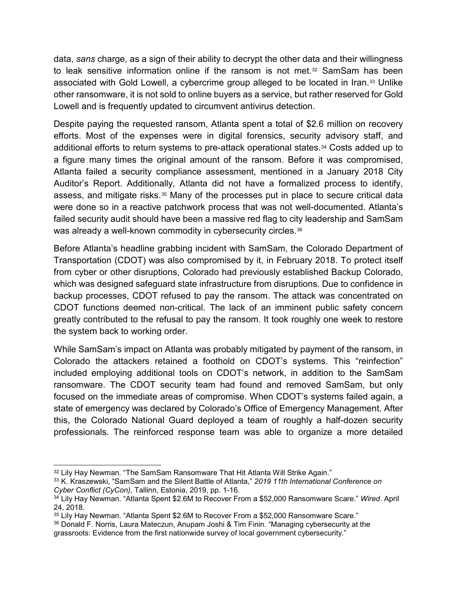data, *sans* charge, as a sign of their ability to decrypt the other data and their willingness to leak sensitive information online if the ransom is not met.<sup>[32](#page-10-0)</sup> SamSam has been associated with Gold Lowell, a cybercrime group alleged to be located in Iran.[33](#page-10-1) Unlike other ransomware, it is not sold to online buyers as a service, but rather reserved for Gold Lowell and is frequently updated to circumvent antivirus detection.

Despite paying the requested ransom, Atlanta spent a total of \$2.6 million on recovery efforts. Most of the expenses were in digital forensics, security advisory staff, and additional efforts to return systems to pre-attack operational states.<sup>34</sup> Costs added up to a figure many times the original amount of the ransom. Before it was compromised, Atlanta failed a security compliance assessment, mentioned in a January 2018 City Auditor's Report. Additionally, Atlanta did not have a formalized process to identify, assess, and mitigate risks.[35](#page-10-3) Many of the processes put in place to secure critical data were done so in a reactive patchwork process that was not well-documented. Atlanta's failed security audit should have been a massive red flag to city leadership and SamSam was already a well-known commodity in cybersecurity circles.<sup>[36](#page-10-4)</sup>

Before Atlanta's headline grabbing incident with SamSam, the Colorado Department of Transportation (CDOT) was also compromised by it, in February 2018. To protect itself from cyber or other disruptions, Colorado had previously established Backup Colorado, which was designed safeguard state infrastructure from disruptions. Due to confidence in backup processes, CDOT refused to pay the ransom. The attack was concentrated on CDOT functions deemed non-critical. The lack of an imminent public safety concern greatly contributed to the refusal to pay the ransom. It took roughly one week to restore the system back to working order.

While SamSam's impact on Atlanta was probably mitigated by payment of the ransom, in Colorado the attackers retained a foothold on CDOT's systems. This "reinfection" included employing additional tools on CDOT's network, in addition to the SamSam ransomware. The CDOT security team had found and removed SamSam, but only focused on the immediate areas of compromise. When CDOT's systems failed again, a state of emergency was declared by Colorado's Office of Emergency Management. After this, the Colorado National Guard deployed a team of roughly a half-dozen security professionals. The reinforced response team was able to organize a more detailed

<span id="page-10-0"></span><sup>&</sup>lt;sup>32</sup> Lily Hay Newman. "The SamSam Ransomware That Hit Atlanta Will Strike Again."

<span id="page-10-1"></span><sup>33</sup> K. Kraszewski, "SamSam and the Silent Battle of Atlanta," *2019 11th International Conference on Cyber Conflict (CyCon)*, Tallinn, Estonia, 2019, pp. 1-16.

<span id="page-10-2"></span><sup>34</sup> Lily Hay Newman. "Atlanta Spent \$2.6M to Recover From a \$52,000 Ransomware Scare." *Wired*. April 24, 2018.

<span id="page-10-3"></span><sup>35</sup> Lily Hay Newman. "Atlanta Spent \$2.6M to Recover From a \$52,000 Ransomware Scare."

<span id="page-10-4"></span><sup>36</sup> Donald F. Norris, Laura Mateczun, Anupam Joshi & Tim Finin. "Managing cybersecurity at the grassroots: Evidence from the first nationwide survey of local government cybersecurity."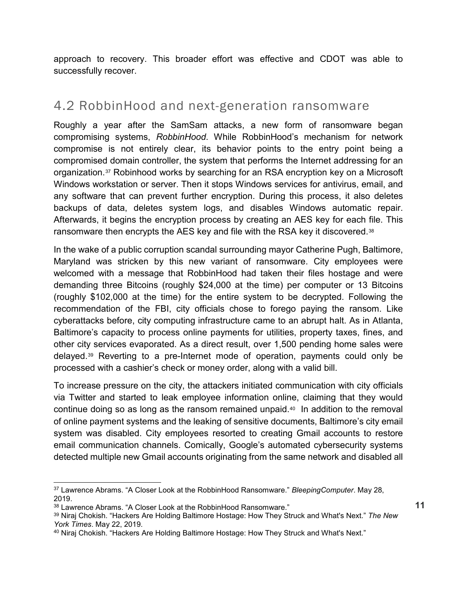approach to recovery. This broader effort was effective and CDOT was able to successfully recover.

#### 4.2 RobbinHood and next-generation ransomware

Roughly a year after the SamSam attacks, a new form of ransomware began compromising systems, *RobbinHood*. While RobbinHood's mechanism for network compromise is not entirely clear, its behavior points to the entry point being a compromised domain controller, the system that performs the Internet addressing for an organization.[37](#page-11-0) Robinhood works by searching for an RSA encryption key on a Microsoft Windows workstation or server. Then it stops Windows services for antivirus, email, and any software that can prevent further encryption. During this process, it also deletes backups of data, deletes system logs, and disables Windows automatic repair. Afterwards, it begins the encryption process by creating an AES key for each file. This ransomware then encrypts the AES key and file with the RSA key it discovered.<sup>[38](#page-11-1)</sup>

In the wake of a public corruption scandal surrounding mayor Catherine Pugh, Baltimore, Maryland was stricken by this new variant of ransomware. City employees were welcomed with a message that RobbinHood had taken their files hostage and were demanding three Bitcoins (roughly \$24,000 at the time) per computer or 13 Bitcoins (roughly \$102,000 at the time) for the entire system to be decrypted. Following the recommendation of the FBI, city officials chose to forego paying the ransom. Like cyberattacks before, city computing infrastructure came to an abrupt halt. As in Atlanta, Baltimore's capacity to process online payments for utilities, property taxes, fines, and other city services evaporated. As a direct result, over 1,500 pending home sales were delayed.[39](#page-11-2) Reverting to a pre-Internet mode of operation, payments could only be processed with a cashier's check or money order, along with a valid bill.

To increase pressure on the city, the attackers initiated communication with city officials via Twitter and started to leak employee information online, claiming that they would continue doing so as long as the ransom remained unpaid[.40](#page-11-3) In addition to the removal of online payment systems and the leaking of sensitive documents, Baltimore's city email system was disabled. City employees resorted to creating Gmail accounts to restore email communication channels. Comically, Google's automated cybersecurity systems detected multiple new Gmail accounts originating from the same network and disabled all

<span id="page-11-1"></span><sup>38</sup> Lawrence Abrams. "A Closer Look at the RobbinHood Ransomware."

<span id="page-11-0"></span> <sup>37</sup> Lawrence Abrams. "A Closer Look at the RobbinHood Ransomware." *BleepingComputer*. May 28, 2019.

<span id="page-11-2"></span><sup>39</sup> Niraj Chokish. "Hackers Are Holding Baltimore Hostage: How They Struck and What's Next." *The New York Times*. May 22, 2019.

<span id="page-11-3"></span><sup>40</sup> Niraj Chokish. "Hackers Are Holding Baltimore Hostage: How They Struck and What's Next."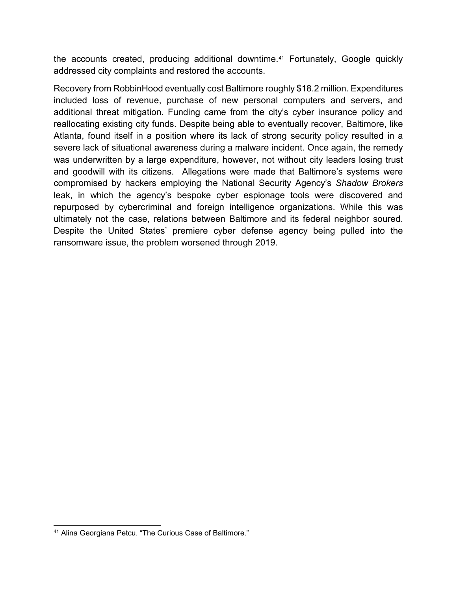the accounts created, producing additional downtime.<sup>[41](#page-12-0)</sup> Fortunately, Google quickly addressed city complaints and restored the accounts.

Recovery from RobbinHood eventually cost Baltimore roughly \$18.2 million. Expenditures included loss of revenue, purchase of new personal computers and servers, and additional threat mitigation. Funding came from the city's cyber insurance policy and reallocating existing city funds. Despite being able to eventually recover, Baltimore, like Atlanta, found itself in a position where its lack of strong security policy resulted in a severe lack of situational awareness during a malware incident. Once again, the remedy was underwritten by a large expenditure, however, not without city leaders losing trust and goodwill with its citizens. Allegations were made that Baltimore's systems were compromised by hackers employing the National Security Agency's *Shadow Brokers* leak, in which the agency's bespoke cyber espionage tools were discovered and repurposed by cybercriminal and foreign intelligence organizations. While this was ultimately not the case, relations between Baltimore and its federal neighbor soured. Despite the United States' premiere cyber defense agency being pulled into the ransomware issue, the problem worsened through 2019.

<span id="page-12-0"></span> <sup>41</sup> Alina Georgiana Petcu. "The Curious Case of Baltimore."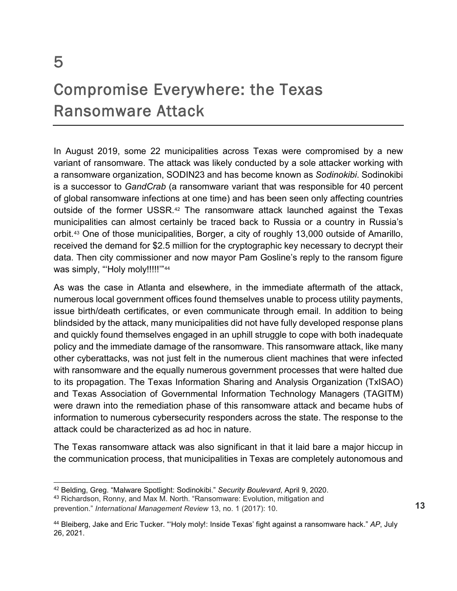#### Compromise Everywhere: the Texas Ransomware Attack

In August 2019, some 22 municipalities across Texas were compromised by a new variant of ransomware. The attack was likely conducted by a sole attacker working with a ransomware organization, SODIN23 and has become known as *Sodinokibi*. Sodinokibi is a successor to *GandCrab* (a ransomware variant that was responsible for 40 percent of global ransomware infections at one time) and has been seen only affecting countries outside of the former USSR.[42](#page-13-0) The ransomware attack launched against the Texas municipalities can almost certainly be traced back to Russia or a country in Russia's orbit.[43](#page-13-1) One of those municipalities, Borger, a city of roughly 13,000 outside of Amarillo, received the demand for \$2.5 million for the cryptographic key necessary to decrypt their data. Then city commissioner and now mayor Pam Gosline's reply to the ransom figure was simply, "Holy moly!!!!!"<sup>[44](#page-13-2)</sup>

As was the case in Atlanta and elsewhere, in the immediate aftermath of the attack, numerous local government offices found themselves unable to process utility payments, issue birth/death certificates, or even communicate through email. In addition to being blindsided by the attack, many municipalities did not have fully developed response plans and quickly found themselves engaged in an uphill struggle to cope with both inadequate policy and the immediate damage of the ransomware. This ransomware attack, like many other cyberattacks, was not just felt in the numerous client machines that were infected with ransomware and the equally numerous government processes that were halted due to its propagation. The Texas Information Sharing and Analysis Organization (TxISAO) and Texas Association of Governmental Information Technology Managers (TAGITM) were drawn into the remediation phase of this ransomware attack and became hubs of information to numerous cybersecurity responders across the state. The response to the attack could be characterized as ad hoc in nature.

The Texas ransomware attack was also significant in that it laid bare a major hiccup in the communication process, that municipalities in Texas are completely autonomous and

<span id="page-13-0"></span> <sup>42</sup> Belding, Greg. "Malware Spotlight: Sodinokibi." *Security Boulevard*, April 9, 2020.

<span id="page-13-1"></span><sup>43</sup> Richardson, Ronny, and Max M. North. "Ransomware: Evolution, mitigation and prevention." *International Management Review* 13, no. 1 (2017): 10.

<span id="page-13-2"></span><sup>44</sup> Bleiberg, Jake and Eric Tucker. "'Holy moly!: Inside Texas' fight against a ransomware hack." *AP*, July 26, 2021.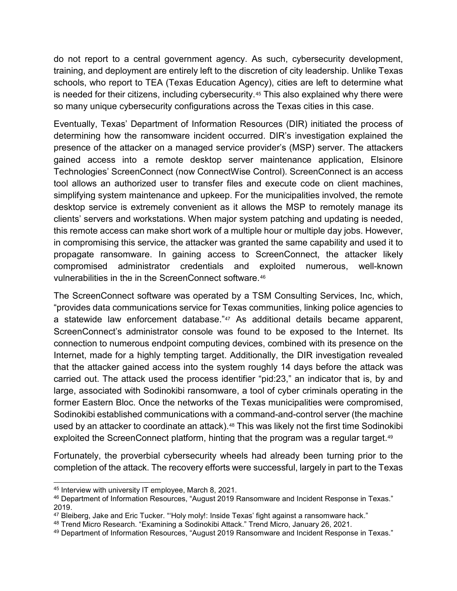do not report to a central government agency. As such, cybersecurity development, training, and deployment are entirely left to the discretion of city leadership. Unlike Texas schools, who report to TEA (Texas Education Agency), cities are left to determine what is needed for their citizens, including cybersecurity.<sup>[45](#page-14-0)</sup> This also explained why there were so many unique cybersecurity configurations across the Texas cities in this case.

Eventually, Texas' Department of Information Resources (DIR) initiated the process of determining how the ransomware incident occurred. DIR's investigation explained the presence of the attacker on a managed service provider's (MSP) server. The attackers gained access into a remote desktop server maintenance application, Elsinore Technologies' ScreenConnect (now ConnectWise Control). ScreenConnect is an access tool allows an authorized user to transfer files and execute code on client machines, simplifying system maintenance and upkeep. For the municipalities involved, the remote desktop service is extremely convenient as it allows the MSP to remotely manage its clients' servers and workstations. When major system patching and updating is needed, this remote access can make short work of a multiple hour or multiple day jobs. However, in compromising this service, the attacker was granted the same capability and used it to propagate ransomware. In gaining access to ScreenConnect, the attacker likely compromised administrator credentials and exploited numerous, well-known vulnerabilities in the in the ScreenConnect software.[46](#page-14-1)

The ScreenConnect software was operated by a TSM Consulting Services, Inc, which, "provides data communications service for Texas communities, linking police agencies to a statewide law enforcement database."<sup>[47](#page-14-2)</sup> As additional details became apparent, ScreenConnect's administrator console was found to be exposed to the Internet. Its connection to numerous endpoint computing devices, combined with its presence on the Internet, made for a highly tempting target. Additionally, the DIR investigation revealed that the attacker gained access into the system roughly 14 days before the attack was carried out. The attack used the process identifier "pid:23," an indicator that is, by and large, associated with Sodinokibi ransomware, a tool of cyber criminals operating in the former Eastern Bloc. Once the networks of the Texas municipalities were compromised, Sodinokibi established communications with a command-and-control server (the machine used by an attacker to coordinate an attack).<sup>[48](#page-14-3)</sup> This was likely not the first time Sodinokibi exploited the ScreenConnect platform, hinting that the program was a regular target.<sup>49</sup>

Fortunately, the proverbial cybersecurity wheels had already been turning prior to the completion of the attack. The recovery efforts were successful, largely in part to the Texas

<span id="page-14-0"></span> <sup>45</sup> Interview with university IT employee, March 8, 2021.

<span id="page-14-1"></span><sup>46</sup> Department of Information Resources, "August 2019 Ransomware and Incident Response in Texas." 2019.

<span id="page-14-2"></span><sup>47</sup> Bleiberg, Jake and Eric Tucker. "Holy moly!: Inside Texas' fight against a ransomware hack."

<span id="page-14-3"></span><sup>48</sup> Trend Micro Research. "Examining a Sodinokibi Attack." Trend Micro, January 26, 2021.

<span id="page-14-4"></span><sup>49</sup> Department of Information Resources, "August 2019 Ransomware and Incident Response in Texas."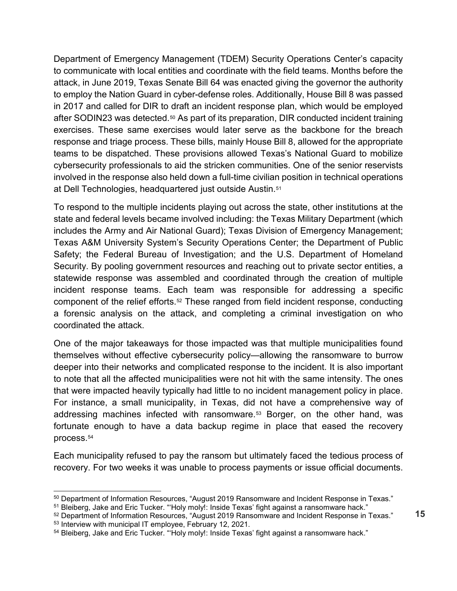Department of Emergency Management (TDEM) Security Operations Center's capacity to communicate with local entities and coordinate with the field teams. Months before the attack, in June 2019, Texas Senate Bill 64 was enacted giving the governor the authority to employ the Nation Guard in cyber-defense roles. Additionally, House Bill 8 was passed in 2017 and called for DIR to draft an incident response plan, which would be employed after SODIN23 was detected.<sup>[50](#page-15-0)</sup> As part of its preparation, DIR conducted incident training exercises. These same exercises would later serve as the backbone for the breach response and triage process. These bills, mainly House Bill 8, allowed for the appropriate teams to be dispatched. These provisions allowed Texas's National Guard to mobilize cybersecurity professionals to aid the stricken communities. One of the senior reservists involved in the response also held down a full-time civilian position in technical operations at Dell Technologies, headquartered just outside Austin.[51](#page-15-1)

To respond to the multiple incidents playing out across the state, other institutions at the state and federal levels became involved including: the Texas Military Department (which includes the Army and Air National Guard); Texas Division of Emergency Management; Texas A&M University System's Security Operations Center; the Department of Public Safety; the Federal Bureau of Investigation; and the U.S. Department of Homeland Security. By pooling government resources and reaching out to private sector entities, a statewide response was assembled and coordinated through the creation of multiple incident response teams. Each team was responsible for addressing a specific component of the relief efforts.[52](#page-15-2) These ranged from field incident response, conducting a forensic analysis on the attack, and completing a criminal investigation on who coordinated the attack.

One of the major takeaways for those impacted was that multiple municipalities found themselves without effective cybersecurity policy—allowing the ransomware to burrow deeper into their networks and complicated response to the incident. It is also important to note that all the affected municipalities were not hit with the same intensity. The ones that were impacted heavily typically had little to no incident management policy in place. For instance, a small municipality, in Texas, did not have a comprehensive way of addressing machines infected with ransomware.[53](#page-15-3) Borger, on the other hand, was fortunate enough to have a data backup regime in place that eased the recovery process.[54](#page-15-4)

Each municipality refused to pay the ransom but ultimately faced the tedious process of recovery. For two weeks it was unable to process payments or issue official documents.

<span id="page-15-0"></span><sup>50</sup> Department of Information Resources, "August 2019 Ransomware and Incident Response in Texas."

<sup>&</sup>lt;sup>51</sup> Bleiberg, Jake and Eric Tucker. "Holy moly!: Inside Texas' fight against a ransomware hack."

<span id="page-15-2"></span><span id="page-15-1"></span><sup>52</sup> Department of Information Resources, "August 2019 Ransomware and Incident Response in Texas."

<span id="page-15-3"></span><sup>53</sup> Interview with municipal IT employee, February 12, 2021.

<span id="page-15-4"></span><sup>54</sup> Bleiberg, Jake and Eric Tucker. "Holy moly!: Inside Texas' fight against a ransomware hack."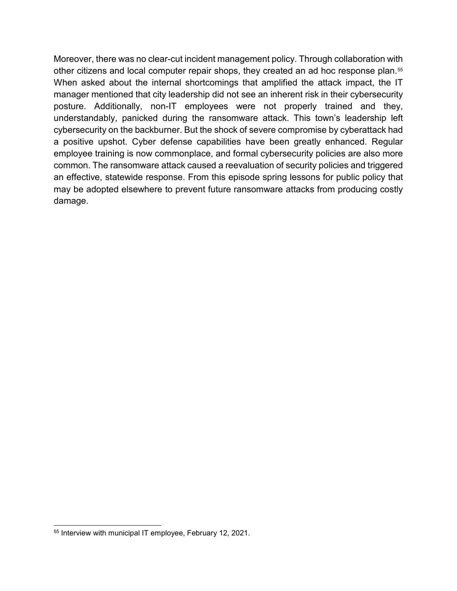Moreover, there was no clear-cut incident management policy. Through collaboration with other citizens and local computer repair shops, they created an ad hoc response plan.[55](#page-16-0) When asked about the internal shortcomings that amplified the attack impact, the IT manager mentioned that city leadership did not see an inherent risk in their cybersecurity posture. Additionally, non-IT employees were not properly trained and they, understandably, panicked during the ransomware attack. This town's leadership left cybersecurity on the backburner. But the shock of severe compromise by cyberattack had a positive upshot. Cyber defense capabilities have been greatly enhanced. Regular employee training is now commonplace, and formal cybersecurity policies are also more common. The ransomware attack caused a reevaluation of security policies and triggered an effective, statewide response. From this episode spring lessons for public policy that may be adopted elsewhere to prevent future ransomware attacks from producing costly damage.

<span id="page-16-0"></span> <sup>55</sup> Interview with municipal IT employee, February 12, 2021.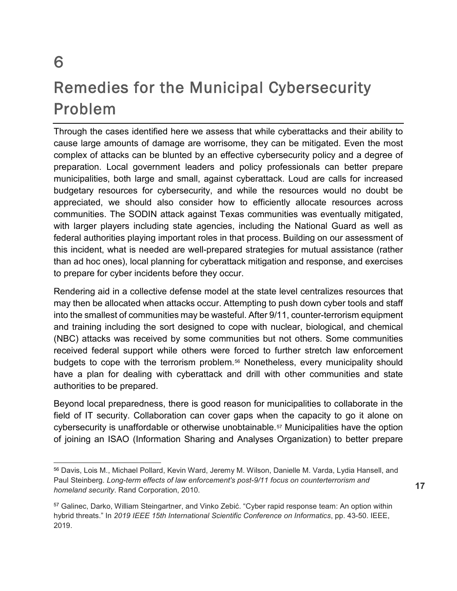#### Remedies for the Municipal Cybersecurity Problem

Through the cases identified here we assess that while cyberattacks and their ability to cause large amounts of damage are worrisome, they can be mitigated. Even the most complex of attacks can be blunted by an effective cybersecurity policy and a degree of preparation. Local government leaders and policy professionals can better prepare municipalities, both large and small, against cyberattack. Loud are calls for increased budgetary resources for cybersecurity, and while the resources would no doubt be appreciated, we should also consider how to efficiently allocate resources across communities. The SODIN attack against Texas communities was eventually mitigated, with larger players including state agencies, including the National Guard as well as federal authorities playing important roles in that process. Building on our assessment of this incident, what is needed are well-prepared strategies for mutual assistance (rather than ad hoc ones), local planning for cyberattack mitigation and response, and exercises to prepare for cyber incidents before they occur.

Rendering aid in a collective defense model at the state level centralizes resources that may then be allocated when attacks occur. Attempting to push down cyber tools and staff into the smallest of communities may be wasteful. After 9/11, counter-terrorism equipment and training including the sort designed to cope with nuclear, biological, and chemical (NBC) attacks was received by some communities but not others. Some communities received federal support while others were forced to further stretch law enforcement budgets to cope with the terrorism problem.<sup>[56](#page-17-0)</sup> Nonetheless, every municipality should have a plan for dealing with cyberattack and drill with other communities and state authorities to be prepared.

Beyond local preparedness, there is good reason for municipalities to collaborate in the field of IT security. Collaboration can cover gaps when the capacity to go it alone on cybersecurity is unaffordable or otherwise unobtainable.[57](#page-17-1) Municipalities have the option of joining an ISAO (Information Sharing and Analyses Organization) to better prepare

<span id="page-17-0"></span> <sup>56</sup> Davis, Lois M., Michael Pollard, Kevin Ward, Jeremy M. Wilson, Danielle M. Varda, Lydia Hansell, and Paul Steinberg. *Long-term effects of law enforcement's post-9/11 focus on counterterrorism and homeland security*. Rand Corporation, 2010.

<span id="page-17-1"></span><sup>57</sup> Galinec, Darko, William Steingartner, and Vinko Zebić. "Cyber rapid response team: An option within hybrid threats." In *2019 IEEE 15th International Scientific Conference on Informatics*, pp. 43-50. IEEE, 2019.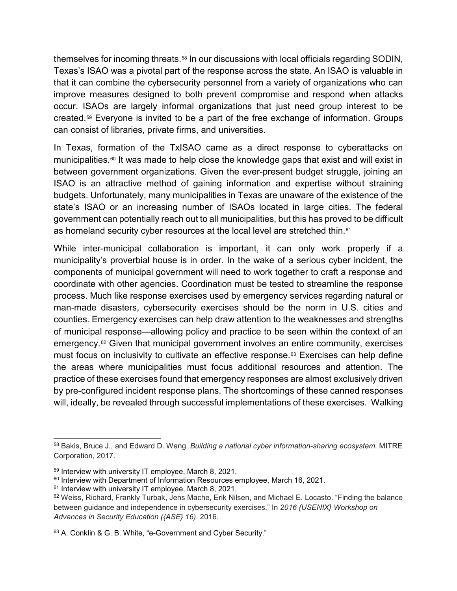themselves for incoming threats[.58](#page-18-0) In our discussions with local officials regarding SODIN, Texas's ISAO was a pivotal part of the response across the state. An ISAO is valuable in that it can combine the cybersecurity personnel from a variety of organizations who can improve measures designed to both prevent compromise and respond when attacks occur. ISAOs are largely informal organizations that just need group interest to be created.[59](#page-18-1) Everyone is invited to be a part of the free exchange of information. Groups can consist of libraries, private firms, and universities.

In Texas, formation of the TxISAO came as a direct response to cyberattacks on municipalities.<sup>[60](#page-18-2)</sup> It was made to help close the knowledge gaps that exist and will exist in between government organizations. Given the ever-present budget struggle, joining an ISAO is an attractive method of gaining information and expertise without straining budgets. Unfortunately, many municipalities in Texas are unaware of the existence of the state's ISAO or an increasing number of ISAOs located in large cities. The federal government can potentially reach out to all municipalities, but this has proved to be difficult as homeland security cyber resources at the local level are stretched thin.<sup>[61](#page-18-3)</sup>

While inter-municipal collaboration is important, it can only work properly if a municipality's proverbial house is in order. In the wake of a serious cyber incident, the components of municipal government will need to work together to craft a response and coordinate with other agencies. Coordination must be tested to streamline the response process. Much like response exercises used by emergency services regarding natural or man-made disasters, cybersecurity exercises should be the norm in U.S. cities and counties. Emergency exercises can help draw attention to the weaknesses and strengths of municipal response—allowing policy and practice to be seen within the context of an emergency.[62](#page-18-4) Given that municipal government involves an entire community, exercises must focus on inclusivity to cultivate an effective response.[63](#page-18-5) Exercises can help define the areas where municipalities must focus additional resources and attention. The practice of these exercises found that emergency responses are almost exclusively driven by pre-configured incident response plans. The shortcomings of these canned responses will, ideally, be revealed through successful implementations of these exercises. Walking

<span id="page-18-0"></span> <sup>58</sup> Bakis, Bruce J., and Edward D. Wang. *Building a national cyber information-sharing ecosystem*. MITRE Corporation, 2017.

<span id="page-18-1"></span><sup>59</sup> Interview with university IT employee, March 8, 2021.

<span id="page-18-2"></span><sup>60</sup> Interview with Department of Information Resources employee, March 16, 2021.

<span id="page-18-3"></span><sup>&</sup>lt;sup>61</sup> Interview with university IT employee, March 8, 2021.

<span id="page-18-4"></span><sup>62</sup> Weiss, Richard, Frankly Turbak, Jens Mache, Erik Nilsen, and Michael E. Locasto. "Finding the balance between guidance and independence in cybersecurity exercises." In *2016 {USENIX} Workshop on Advances in Security Education ({ASE} 16)*. 2016.

<span id="page-18-5"></span><sup>63</sup> A. Conklin & G. B. White, "e-Government and Cyber Security."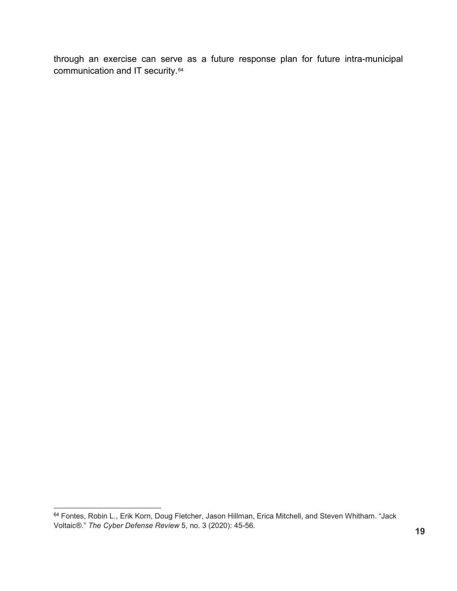through an exercise can serve as a future response plan for future intra-municipal communication and IT security.<sup>[64](#page-19-0)</sup>

<span id="page-19-0"></span> <sup>64</sup> Fontes, Robin L., Erik Korn, Doug Fletcher, Jason Hillman, Erica Mitchell, and Steven Whitham. "Jack Voltaic®." *The Cyber Defense Review* 5, no. 3 (2020): 45-56.